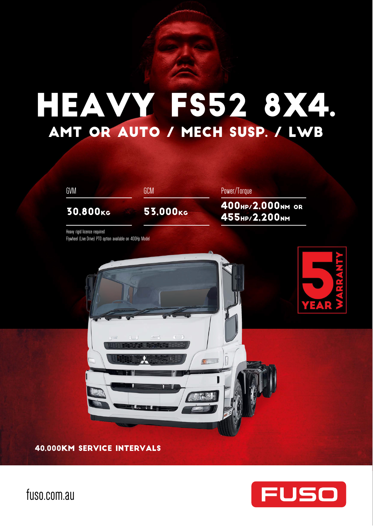# Heavy FS52 8x4. AMT OR AUTO / MECH SUSP. / LWB



40,000KM SERVICE INTERVALS



fuso.com.au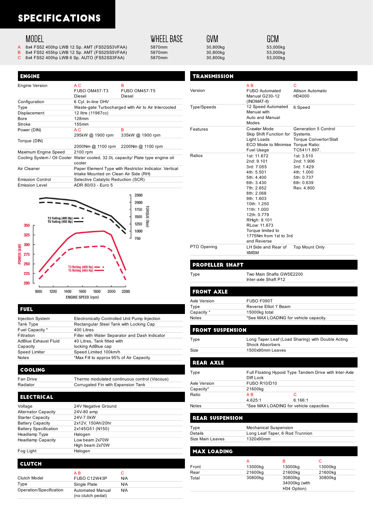### **SPECIFICATIONS**

### **MODEL**

**ENGINE** 

- 
- A 8x4 FS52 400hp LWB 12 Sp. AMT (FS52SS3VFAA) 5870mm 30,800kg 53,000kg 53,000kg 53,000kg 53,000kg 53,000kg 53,000kg
- B 8x4 FS52 455hp LWB 12 Sp. AMT (FS52SS5VFAA) 5870mm 30,800kg 30,800kg 53,000kg 53,000kg 53,000kg 53,000kg 53,000kg 53,000kg 53,000kg 53,000kg 53,000kg 53,000kg 53,000kg 53,000kg 53,000kg 53,000kg 53,000kg 53,000kg 53,000k 8x4 FS52 400hp LWB 6 Sp. AUTO (FS52SS3FAA)

### **WHEEL BASE**

## GVM

GCM

### **TRANSMISSION**

| <b>Engine Version</b>   | A C<br>FUSO OM457-T3<br>Diesel                                                                  | в<br><b>FUSO OM457-T5</b><br>Diesel                 |  |
|-------------------------|-------------------------------------------------------------------------------------------------|-----------------------------------------------------|--|
| Configuration           | 6 Cyl. In-line OHV                                                                              |                                                     |  |
| Type                    |                                                                                                 | Waste-gate Turbocharged with Air to Air Intercooled |  |
| Displacement            | 12 litre (11967cc)                                                                              |                                                     |  |
| Bore                    | 128mm                                                                                           |                                                     |  |
| Stroke                  | 155mm                                                                                           |                                                     |  |
| Power (DIN)             | A C                                                                                             | в                                                   |  |
|                         | 295kW @ 1900 rpm                                                                                | 335kW @ 1900 rpm                                    |  |
| Torque (DIN)            |                                                                                                 |                                                     |  |
|                         | 2000Nm @ 1100 rpm                                                                               | 2200Nm @ 1100 rpm                                   |  |
| Maximum Engine Speed    | 2100 rpm                                                                                        |                                                     |  |
|                         | Cooling System / Oil Cooler Water cooled, 32.0L capacity/ Plate type engine oil<br>cooler       |                                                     |  |
| Air Cleaner             | Paper Element Type with Restrictor Indicator. Vertical<br>Intake Mounted on Clean Air Side (RH) |                                                     |  |
| <b>Emission Control</b> | Selective Catalytic Reduction (SCR)                                                             |                                                     |  |
| <b>Emission Level</b>   | ADR 80/03 - Euro 5                                                                              |                                                     |  |

|            |     |      |      |                                              |                                                 |      |      |      | 2500<br>2000<br>1750 | <b>TORQUE (Nm)</b> |
|------------|-----|------|------|----------------------------------------------|-------------------------------------------------|------|------|------|----------------------|--------------------|
|            |     |      |      | T3 Rating (400 Hp) (<br>T5 Rating (455 Hp) · |                                                 |      |      |      | 1500                 |                    |
|            | 350 |      |      |                                              |                                                 |      |      |      | 1250                 |                    |
|            | 325 |      |      |                                              |                                                 |      |      |      | 1000                 |                    |
|            |     |      |      |                                              |                                                 |      |      |      | 750                  |                    |
|            | 300 |      |      |                                              |                                                 |      |      |      |                      |                    |
| POWER (kW) | 275 |      |      |                                              |                                                 |      |      |      |                      |                    |
|            | 250 |      |      |                                              |                                                 |      |      |      |                      |                    |
|            | 225 |      |      |                                              | T3 Rating (400 Hp)<br><b>T5 Rating (455 Hp)</b> |      |      |      |                      |                    |
|            | 200 |      |      |                                              |                                                 |      |      |      |                      |                    |
|            |     | 1000 | 1200 | 1400                                         | 1600                                            | 1800 | 2000 | 2200 |                      |                    |
|            |     |      |      |                                              | <b>ENGINE SPEED (rpm)</b>                       |      |      |      |                      |                    |

**FUEL** 

| <b>Injection System</b>     | Electronically Controlled Unit Pump Injection  |
|-----------------------------|------------------------------------------------|
| Tank Type                   | Rectangular Steel Tank with Locking Cap        |
| Fuel Capacity *             | 400 Litres                                     |
| Filtration                  | Filter with Water Separator and Dash Indicator |
| <b>AdBlue Exhaust Fluid</b> | 40 Litres, Tank fitted with                    |
| Capacity                    | locking AdBlue cap                             |
| Speed Limiter               | Speed Limited 100km/h                          |
| <b>Notes</b>                | *Max Fill to approx 95% of Air Capacity        |
|                             |                                                |

#### COOLING

Fan Drive Thermo modulated continuous control (Viscous) Radiator **Corrugated Fin with Expansion Tank** 

| <b>ELECTRICAL</b>            |                     |
|------------------------------|---------------------|
| Voltage                      | 24V Negative Ground |
| <b>Alternator Capacity</b>   | 24V-80 amp          |
| Starter Capacity             | 24V-7.0kW           |
| <b>Battery Capacity</b>      | 2x12V, 150Ah/20hr   |
| <b>Battery Specification</b> | 2x145G51 (N150)     |
| Headlamp Type                | Halogen             |
| <b>Headlamp Capacity</b>     | Low beam 2x70W      |
|                              | High beam 2x70W     |
| Fog Light                    | Halogen             |
|                              |                     |

| <b>CLUTCH</b>           |                                       |          |
|-------------------------|---------------------------------------|----------|
| Clutch Model            | A B<br>FUSO C12W43P                   | С<br>N/A |
| Type                    | Single Plate                          | N/A      |
| Operation/Specification | Automated Manual<br>(no clutch pedal) | N/A      |

| Version     | A B<br>FUSO Automated<br>Manual G230-12<br>(INOMAT-II)                                                                                                                                                                                                                 | C<br>Allison Automatic<br>HD4000                                                               |
|-------------|------------------------------------------------------------------------------------------------------------------------------------------------------------------------------------------------------------------------------------------------------------------------|------------------------------------------------------------------------------------------------|
| Type/Speeds | 12 Speed Automated<br>Manual with<br>Auto and Manual<br>Modes                                                                                                                                                                                                          | 6 Speed                                                                                        |
| Features    | Crawler Mode<br>Skip Shift Function for Systems.<br>Light Loads<br>ECO Mode to Minimise Torque Ratio:<br>Fuel Usage                                                                                                                                                    | Generation 5 Control<br><b>Torque Convertor/Stall</b><br>TC541/1.897.                          |
| Ratios      | 1st: 11.672<br>2nd: 9.101<br>3rd: 7.055<br>4th: 5.501<br>5th: 4.400<br>6th: 3.430<br>7th: 2.652<br>8th: 2.068<br>9th: 1.603<br>10th: 1.250<br>11th: 1.000<br>12th: 0.779<br>RHigh: 9.101<br>RLow: 11.673<br>Torque limited to<br>1775Nm from 1st to 3rd<br>and Reverse | 1st: 3.510<br>2nd: 1.906<br>3rd: 1.429<br>4th: 1.000<br>5th: 0.737<br>6th: 0.639<br>Rev. 4.800 |
| PTO Opening | LH Side and Rear of<br><b>XMSM</b>                                                                                                                                                                                                                                     | <b>Top Mount Only</b>                                                                          |

### **PROPELLER SHAFT**

Type Two Main Shafts GW5E2200

### **FRONT AXLE**

| Axle Version | FUSO F090T                             |
|--------------|----------------------------------------|
| Type         | Reverse Elliot 'l' Beam                |
| Capacity *   | 15000kg total                          |
| <b>Notes</b> | *See MAX LOADING for vehicle capacity. |

Inter-axle Shaft P12

### **FRONT SUSPENSION**

Type Long Taper Leaf (Load Sharing) with Double Acting Shock Absorbers Size 1500x90mm Leaves

#### **REAR AXLE** Type Full Floating Hypoid Type Tandem Drive with Inter-Axle Diff Lock Axle Version FUSO R10/D10<br>Capacity\* 21600kg 21600kg Ratio A B C 4.625:1 6.166:1 Notes \*See MAX LOADING for vehicle capacities

### **REAR SUSPENSION**

### **MAX LOADING**

| Front | А<br>13000kg | в<br>13000kg                            | 13000kg |
|-------|--------------|-----------------------------------------|---------|
| Rear  | 21600kg      | 21600kg                                 | 21600kg |
| Total | 30800kg      | 30800kg<br>34000kg (with<br>H34 Option) | 30800kg |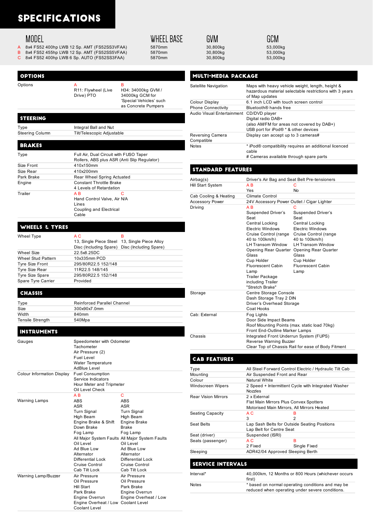### **SPECIFICATIONS**

### **MODEL**

Options

**OPTIONS** 

- 
- A 8x4 FS52 400hp LWB 12 Sp. AMT (FS52SS3VFAA) 5870mm 30,800kg 30,800kg 53,000kg 53,000kg 53,000kg 53,000kg 53,000kg 53,000kg 53,000kg 53,000kg 53,000kg 53,000kg 53,000kg 53,000kg 53,000kg 53,000kg 53,000kg 53,000kg 53,000k
- B 8x4 FS52 455hp LWB 12 Sp. AMT (FS52SS5VFAA) 5870mm 30,800kg 30,800kg 53,000kg 53,000kg 53,000kg 53,000kg 53,000kg 53,000kg 53,000kg 53,000kg 53,000kg 53,000kg 53,000kg 53,000kg 53,000kg 53,000kg 53,000kg 53,000kg 53,000k 8x4 FS52 400hp LWB 6 Sp. AUTO (FS52SS3FAA)

R11: Flywheel (Live Drive) PTO

**WHEEL BASE** 

H34: 34000kg GVM / 34000kg GCM for 'Special Vehicles' such as Concrete Pumpers

B

| GVM    |
|--------|
| 30.800 |
| 30.800 |
|        |

GCM

### **MULTI-MEDIA PACKAGE**

| Satellite Navigation           | Maps with heavy vehicle weight, length, height &<br>hazardous material selectable restrictions with 3 years<br>of Map updates |
|--------------------------------|-------------------------------------------------------------------------------------------------------------------------------|
| Colour Display                 | 6.1 inch LCD with touch screen control                                                                                        |
| <b>Phone Connectivity</b>      | Bluetooth® hands free                                                                                                         |
| Audio Visual Entertainment     | CD/DVD player<br>Digital radio DAB+<br>(also AM/FM for areas not covered by DAB+)<br>USB port for iPod $@*$ & other devices   |
| Reversing Camera<br>Compatible | Display can accept up to 3 cameras#                                                                                           |
| <b>Notes</b>                   | * iPod® compatibility requires an additional licenced<br>cable<br># Cameras available through spare parts                     |

### **STANDARD FEATURES**

| Airbag(s)              | Driver's Air Bag and Seat Belt Pre-tensioners                                                                                                                                                                                                                                               |                                                                                                                                                                                                                                     |  |
|------------------------|---------------------------------------------------------------------------------------------------------------------------------------------------------------------------------------------------------------------------------------------------------------------------------------------|-------------------------------------------------------------------------------------------------------------------------------------------------------------------------------------------------------------------------------------|--|
| Hill Start System      | A <sub>R</sub>                                                                                                                                                                                                                                                                              | C                                                                                                                                                                                                                                   |  |
|                        | Yes                                                                                                                                                                                                                                                                                         | <b>No</b>                                                                                                                                                                                                                           |  |
| Cab Cooling & Heating  | Climate Control                                                                                                                                                                                                                                                                             |                                                                                                                                                                                                                                     |  |
| <b>Accessory Power</b> | 24V Accessory Power Outlet / Cigar Lighter                                                                                                                                                                                                                                                  |                                                                                                                                                                                                                                     |  |
| Driving                | A B<br>Suspended Driver's<br>Seat<br>Central Locking<br>Electric Windows<br>Cruise Control (range Cruise Control (range<br>40 to 100km/h)<br>LH Transom Window<br>Glass<br>Cup Holder<br><b>Fluorescent Cabin</b><br>Lamp<br><b>Trailer Package</b><br>including Trailer<br>"Stretch Brake" | С<br><b>Suspended Driver's</b><br>Seat<br>Central Locking<br>Electric Windows<br>40 to 100km/h)<br><b>LH Transom Window</b><br>Opening Rear Quarter Opening Rear Quarter<br>Glass<br>Cup Holder<br><b>Fluorescent Cabin</b><br>Lamp |  |
| Storage                | Centre Storage Console<br>Dash Storage Tray 2 DIN<br>Driver's Overhead Storage<br>Coat Hooks                                                                                                                                                                                                |                                                                                                                                                                                                                                     |  |
| Cab: External          | Fog Lights<br>Door Side Impact Beams<br>Roof Mounting Points (max. static load 70kg)<br>Front End-Outline Marker Lamps                                                                                                                                                                      |                                                                                                                                                                                                                                     |  |
| Chassis                | Integrated Front Underrun System (FUPS)<br>Reverse Warning Buzzer<br>Clear Top of Chassis Rail for ease of Body Fitment                                                                                                                                                                     |                                                                                                                                                                                                                                     |  |

#### **CAB FEATURES**

| Type                       |                                                                                                      | All Steel Forward Control Electric / Hydraulic Tilt Cab |
|----------------------------|------------------------------------------------------------------------------------------------------|---------------------------------------------------------|
| Mounting                   | Air Suspended Front and Rear                                                                         |                                                         |
| Colour                     | Natural White                                                                                        |                                                         |
| Windscreen Wipers          | Nozzles                                                                                              | 2 Speed + Intermittent Cycle with Integrated Washer     |
| <b>Rear Vision Mirrors</b> | 2 x External<br>Flat Main Mirrors Plus Convex Spotters<br>Motorised Main Mirrors, All Mirrors Heated |                                                         |
| Seating Capacity           | A C<br>3                                                                                             | в<br>2                                                  |
| Seat Belts                 | Lap Sash Belts for Outside Seating Positions<br>Lap Belt for Centre Seat                             |                                                         |
| Seat (driver)              | Suspended (ISRI)                                                                                     |                                                         |
| Seats (passenger)          | A C<br>2 Fixed                                                                                       | R<br>Single Fixed                                       |
| Sleeping                   | ADR42/04 Approved Sleeping Berth                                                                     |                                                         |
|                            |                                                                                                      |                                                         |
| <b>SERVICE INTERVALS</b>   |                                                                                                      |                                                         |
| Interval*                  | first)                                                                                               | 40,000km, 12 Months or 800 Hours (whichever occurs      |

|       | first)                                            |
|-------|---------------------------------------------------|
| Notes | * based on normal operating conditions and may be |
|       | reduced when operating under severe conditions.   |

| <b>STEERING</b>            |                                                                                                                       |  |
|----------------------------|-----------------------------------------------------------------------------------------------------------------------|--|
| Type                       | Integral Ball and Nut                                                                                                 |  |
| <b>Steering Column</b>     | Tilt/Telescopic Adjustable                                                                                            |  |
|                            |                                                                                                                       |  |
| <b>BRAKES</b>              |                                                                                                                       |  |
| Type                       | Full Air, Dual Circuit with FUSO Taper<br>Rollers, ABS plus ASR (Anti Slip Regulator)                                 |  |
| Size Front                 | 410x150mm                                                                                                             |  |
| Size Rear                  | 410x200mm                                                                                                             |  |
| Park Brake                 | Rear Wheel Spring Actuated                                                                                            |  |
| Engine                     | <b>Constant Throttle Brake</b><br>4 Levels of Retardation                                                             |  |
| Trailer                    | AВ<br>С<br>Hand Control Valve, Air N/A<br>Lines<br>Coupling and Electrical<br>Cable                                   |  |
| WHEELS & TYRES             |                                                                                                                       |  |
| <b>Wheel Type</b>          | A <sub>C</sub><br>в<br>13, Single Piece Steel 13, Single Piece Alloy<br>Disc (Including Spare) Disc (Including Spare) |  |
| <b>Wheel Size</b>          | 22.5x8.25DC                                                                                                           |  |
| <b>Wheel Stud Pattern</b>  | 10x335mm PCD                                                                                                          |  |
| <b>Tyre Size Front</b>     | 295/80R22.5 152/148                                                                                                   |  |
| <b>Tyre Size Rear</b>      | 11R22.5 148/145                                                                                                       |  |
| <b>Tyre Size Spare</b>     | 295/80R22.5 152/148<br>Provided                                                                                       |  |
| Spare Tyre Carrier         |                                                                                                                       |  |
| <b>CHASSIS</b>             |                                                                                                                       |  |
| Type                       | Reinforced Parallel Channel                                                                                           |  |
| <b>Size</b>                | 300x90x7.0mm                                                                                                          |  |
| Width                      | 840mm                                                                                                                 |  |
| <b>Tensile Strength</b>    | 540Mpa                                                                                                                |  |
| <b>INSTRUMENTS</b>         |                                                                                                                       |  |
| Gauges                     | Speedometer with Odometer<br>Tachometer<br>Air Pressure (2)<br><b>Fuel Level</b><br>Water Temperature<br>AdBlue Level |  |
| Colour Information Display | <b>Fuel Consumption</b>                                                                                               |  |
|                            | Service Indicators                                                                                                    |  |

Hour Meter and Tripmeter Oil Level Check

All Major System Faults All Major System Faults

Air Pressure Oil Pressure Park Brake Engine Overrun Engine Overheat / Low

Engine Overheat / Low Coolant Level

 $\overline{C}$ ABS ASR Turn Signal High Beam Engine Brake Brake Fog Lamp Oil Level Ad Blue Low Alternator Differential Lock Cruise Control Cab Tilt Lock

A B ABS ASR Turn Signal High Beam Engine Brake & Shift Down Brake Fog Lamp

Oil Level Ad Blue Low Alternator Differential Lock Cruise Control Cab Tilt Lock<br>Air Pressure

Oil Pressure Hill Start Park Brake Engine Overrun

Coolant Level

Warning Lamps

Warning Lamp/Buzzer